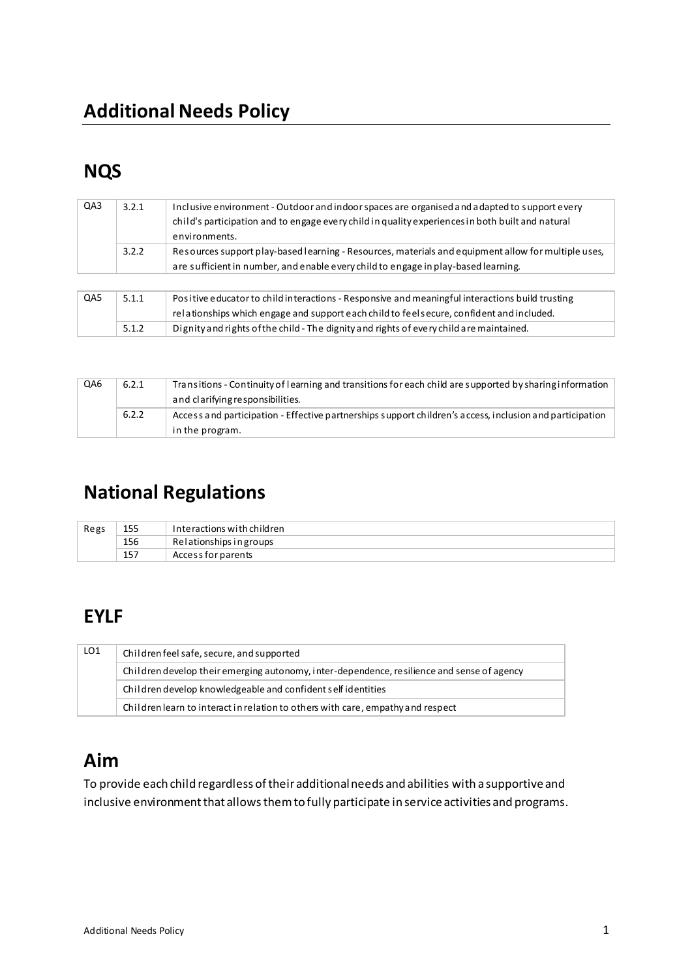# **NQS**

| QA3 | 3.2.1 | Inclusive environment - Outdoor and indoor spaces are organised and adapted to support every<br>child's participation and to engage every child in quality experiences in both built and natural<br>environments. |
|-----|-------|-------------------------------------------------------------------------------------------------------------------------------------------------------------------------------------------------------------------|
|     | 3.2.2 | Resources support play-based learning - Resources, materials and equipment allow for multiple uses,<br>are sufficient in number, and enable every child to engage in play-based learning.                         |
|     |       |                                                                                                                                                                                                                   |
| QA5 | 5.1.1 | Positive educator to child interactions - Responsive and meaningful interactions build trusting                                                                                                                   |
|     |       | relationships which engage and support each child to feels ecure, confident and included.                                                                                                                         |
|     | 5.1.2 | Dignity and rights of the child - The dignity and rights of every child are maintained.                                                                                                                           |

| QA6 | 6.2.1 | Transitions - Continuity of learning and transitions for each child are supported by sharing information<br>and clarifying responsibilities. |
|-----|-------|----------------------------------------------------------------------------------------------------------------------------------------------|
|     | 6.2.2 | Access and participation - Effective partnerships support children's access, inclusion and participation<br>in the program.                  |

# **National Regulations**

| Regs | 155 | Interactions with children |
|------|-----|----------------------------|
|      | 156 | Relationships in groups    |
|      | 157 | Access for parents         |

# **EYLF**

| LO1 | Children feel safe, secure, and supported                                                  |  |  |
|-----|--------------------------------------------------------------------------------------------|--|--|
|     | Children develop their emerging autonomy, inter-dependence, resilience and sense of agency |  |  |
|     | Children develop knowledgeable and confident self identities                               |  |  |
|     | Children learn to interact in relation to others with care, empathy and respect            |  |  |

# **Aim**

To provide each child regardless of their additional needs and abilities with a supportive and inclusive environment that allows them to fully participate in service activities and programs.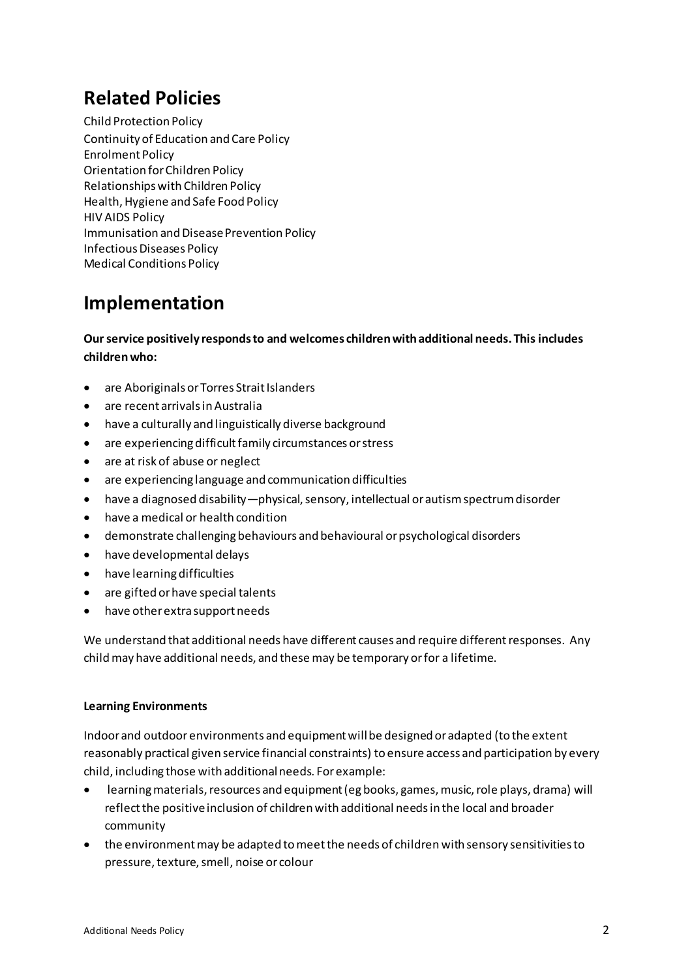## **Related Policies**

Child Protection Policy Continuity of Education and Care Policy Enrolment Policy Orientation for Children Policy Relationships with Children Policy Health, Hygiene and Safe Food Policy HIV AIDS Policy Immunisation and Disease Prevention Policy Infectious Diseases Policy Medical Conditions Policy

### **Implementation**

**Our service positively responds to and welcomes children with additional needs. This includes children who:** 

- are Aboriginals or Torres Strait Islanders
- are recent arrivals in Australia
- have a culturally and linguistically diverse background
- are experiencing difficult family circumstances or stress
- are at risk of abuse or neglect
- are experiencing language and communication difficulties
- have a diagnosed disability—physical, sensory, intellectual or autism spectrum disorder
- have a medical or health condition
- demonstrate challenging behaviours and behavioural or psychological disorders
- have developmental delays
- have learning difficulties
- are gifted or have special talents
- have other extra support needs

We understand that additional needs have different causes and require different responses. Any child may have additional needs, and these may be temporary or for a lifetime.

#### **Learning Environments**

Indoor and outdoor environments and equipment will be designed or adapted (to the extent reasonably practical given service financial constraints) to ensure access and participation by every child, including those with additional needs. For example:

- learning materials, resources and equipment (eg books, games, music, role plays, drama) will reflect the positive inclusion of children with additional needs in the local and broader community
- the environment may be adapted to meet the needs of children with sensory sensitivities to pressure, texture, smell, noise or colour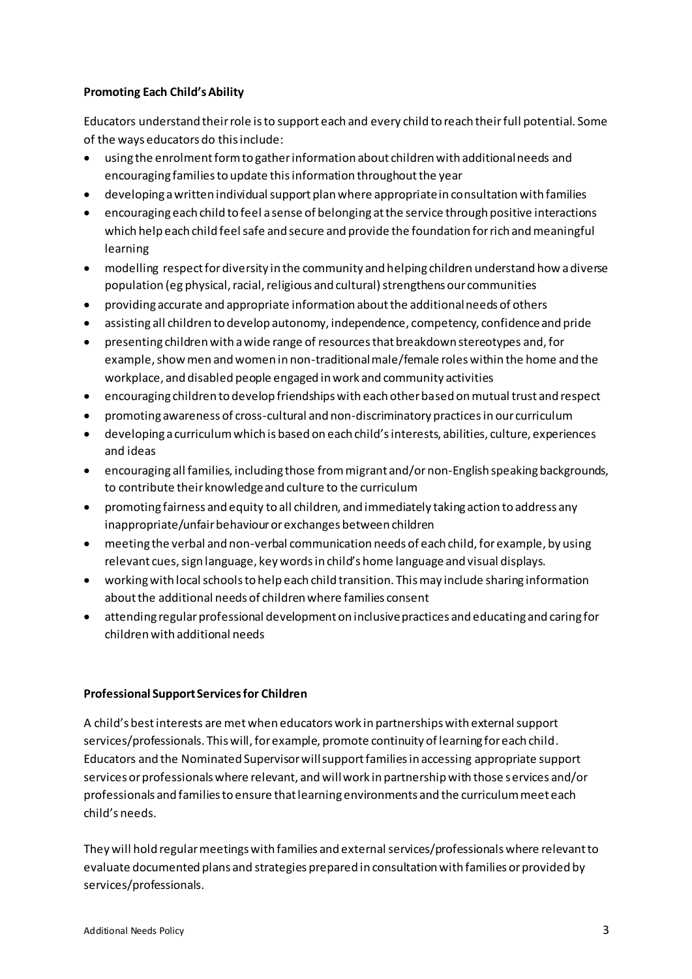#### **Promoting Each Child's Ability**

Educators understand their role is to support each and every child to reach their full potential. Some of the ways educators do this include:

- using the enrolment form to gather information about children with additional needs and encouraging families to update this information throughout the year
- developing a written individual support plan where appropriate in consultation with families
- encouraging each child to feel a sense of belonging at the service through positive interactions which help each child feel safe and secure and provide the foundation for rich and meaningful learning
- modelling respect for diversity in the community and helping children understand how a diverse population (eg physical, racial, religious and cultural) strengthens our communities
- providing accurate and appropriate information about the additional needs of others
- assisting all children to develop autonomy, independence, competency, confidence and pride
- presenting children with a wide range of resources that breakdown stereotypes and, for  $\bullet$ example, show men and women in non-traditional male/female roles within the home and the workplace, and disabled people engaged in work and community activities
- encouraging children to develop friendships with each other based on mutual trust and respect
- promoting awareness of cross-cultural and non-discriminatory practices in our curriculum
- developing a curriculum which is based on each child's interests, abilities, culture, experiences and ideas
- encouraging all families, including those from migrant and/or non-English speaking backgrounds, to contribute their knowledge and culture to the curriculum
- promoting fairness and equity to all children, and immediately taking action to address any inappropriate/unfair behaviour or exchanges between children
- meeting the verbal and non-verbal communication needs of each child, for example, by using relevant cues, sign language, key words in child's home language and visual displays.
- working with local schools to help each child transition. This may include sharing information about the additional needs of children where families consent
- attending regular professional development on inclusive practices and educating and caring for children with additional needs

#### **Professional Support Services for Children**

A child's best interests are met when educators work in partnerships with external support services/professionals. This will, for example, promote continuity of learning for each child. Educators and the Nominated Supervisor will support families in accessing appropriate support services or professionals where relevant, and will work in partnership with those services and/or professionals and families to ensure that learning environments and the curriculum meet each child's needs.

They will hold regular meetings with families and external services/professionals where relevant to evaluate documented plans and strategies prepared in consultation with families or provided by services/professionals.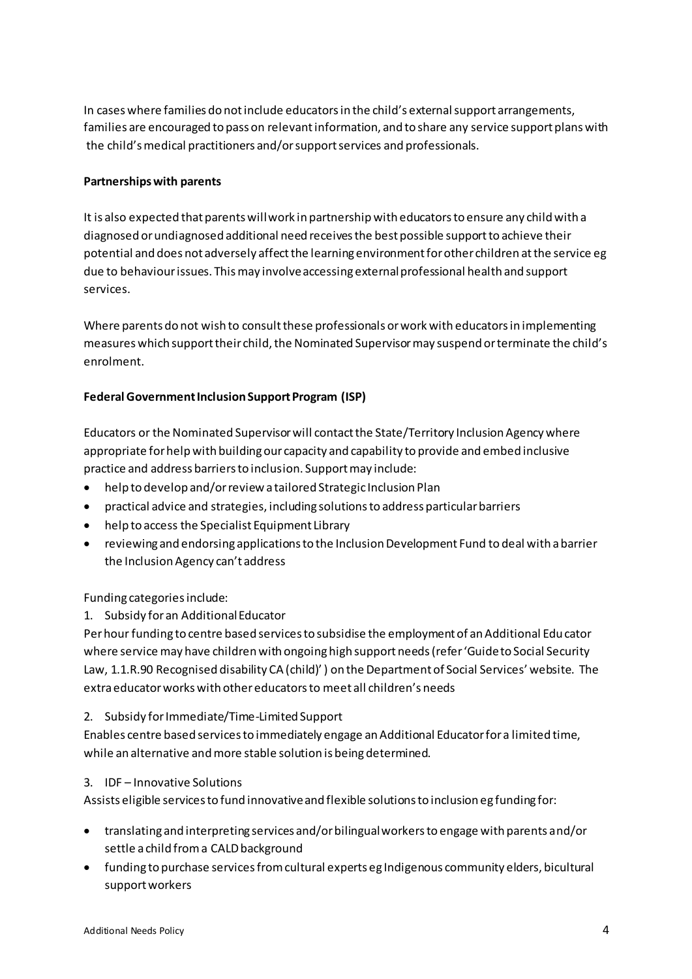In cases where families do not include educators in the child's external support arrangements, families are encouraged to pass on relevant information, and to share any service support plans with the child's medical practitioners and/or support services and professionals.

#### **Partnerships with parents**

It is also expected that parents will work in partnership with educators to ensure any child with a diagnosed or undiagnosed additional need receives the best possible support to achieve their potential and does not adversely affect the learning environment for other children at the service eg due to behaviour issues. This may involve accessing external professional health and support services.

Where parents do not wish to consult these professionals or work with educators in implementing measures which support their child, the Nominated Supervisor may suspend or terminate the child's enrolment.

#### **Federal Government Inclusion Support Program (ISP)**

Educators or the Nominated Supervisor will contact the State/Territory Inclusion Agency where appropriate for help with building our capacity and capability to provide and embed inclusive practice and address barriers to inclusion. Support may include:

- help to develop and/or review a tailored Strategic Inclusion Plan
- practical advice and strategies, including solutions to address particular barriers  $\bullet$
- help to access the Specialist Equipment Library
- reviewing and endorsing applications to the Inclusion Development Fund to deal with a barrier the Inclusion Agency can't address

Funding categories include:

1. Subsidy for an Additional Educator

Per hour funding to centre based services to subsidise the employment of an Additional Educator where service may have children with ongoing high support needs (refer 'Guide to Social Security Law, 1.1.R.90 Recognised disability CA (child)' ) on the Department of Social Services' website. The extra educator works with other educators to meet all children's needs

2. Subsidy for Immediate/Time-Limited Support

Enables centre based services to immediately engage an Additional Educator for a limited time, while an alternative and more stable solution is being determined.

3. IDF-Innovative Solutions

Assists eligible services to fund innovative and flexible solutions to inclusion eg funding for:

- translating and interpreting services and/or bilingual workers to engage with parents and/or settle a child from a CALD background
- funding to purchase services from cultural experts eg Indigenous community elders, bicultural support workers